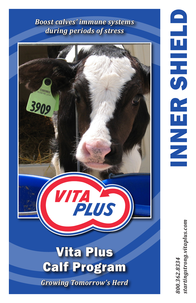*Boost calves' immune systems during periods of stress*



tartingstrong.vitaplus.com *800.362.8334 startingstrong.vitaplus.com*800.362.8334